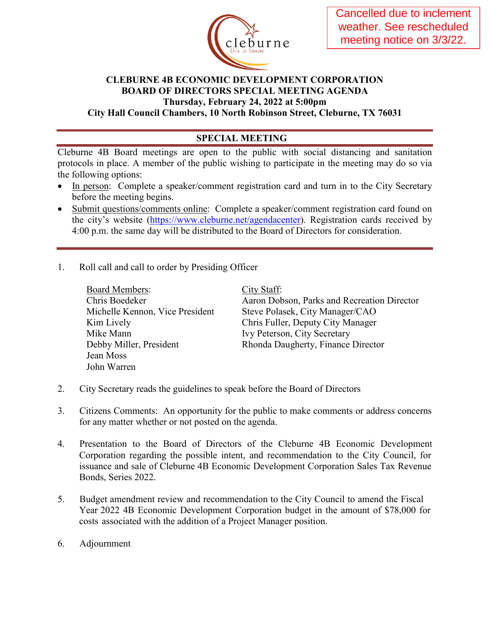

## **CLEBURNE 4B ECONOMIC DEVELOPMENT CORPORATION BOARD OF DIRECTORS SPECIAL MEETING AGENDA Thursday, February 24, 2022 at 5:00pm**

**City Hall Council Chambers, 10 North Robinson Street, Cleburne, TX 76031** 

## **SPECIAL MEETING**

Cleburne 4B Board meetings are open to the public with social distancing and sanitation protocols in place. A member of the public wishing to participate in the meeting may do so via the following options:

- In person: Complete a speaker/comment registration card and turn in to the City Secretary before the meeting begins.
- Submit questions/comments online: Complete a speaker/comment registration card found on the city's website [\(https://www.cleburne.net/agendacenter\)](https://www.cleburne.net/agendacenter). Registration cards received by 4:00 p.m. the same day will be distributed to the Board of Directors for consideration.
- 1. Roll call and call to order by Presiding Officer

| <b>Board Members:</b>           |
|---------------------------------|
| Chris Boedeker                  |
| Michelle Kennon, Vice President |
| Kim Lively                      |
| Mike Mann                       |
| Debby Miller, President         |
| Jean Moss                       |
| John Warren                     |
|                                 |

City Staff: Aaron Dobson, Parks and Recreation Director Steve Polasek, City Manager/CAO Chris Fuller, Deputy City Manager Ivy Peterson, City Secretary Rhonda Daugherty, Finance Director

- 2. City Secretary reads the guidelines to speak before the Board of Directors
- 3. Citizens Comments: An opportunity for the public to make comments or address concerns for any matter whether or not posted on the agenda.
- 4. Presentation to the Board of Directors of the Cleburne 4B Economic Development Corporation regarding the possible intent, and recommendation to the City Council, for issuance and sale of Cleburne 4B Economic Development Corporation Sales Tax Revenue Bonds, Series 2022.
- 5. Budget amendment review and recommendation to the City Council to amend the Fiscal Year 2022 4B Economic Development Corporation budget in the amount of \$78,000 for costs associated with the addition of a Project Manager position.
- 6. Adjournment